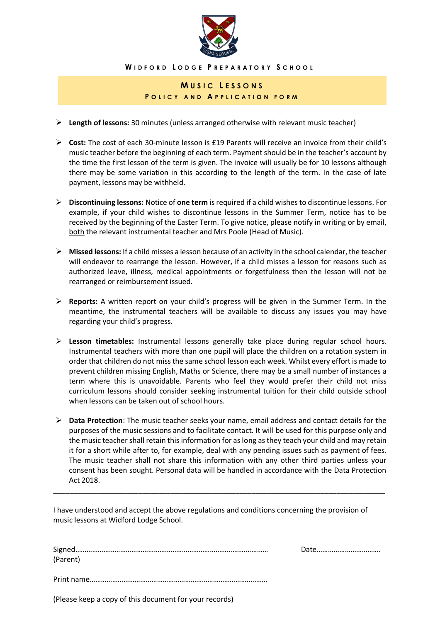

**W I D F O R D L O D G E P R E P A R A T O R Y S C H O O L**

## **M U S I C L E S S O N S P O L I C Y A N D A P P L I C A T I O N F O R M**

- **Length of lessons:** 30 minutes (unless arranged otherwise with relevant music teacher)
- **Cost:** The cost of each 30-minute lesson is £19 Parents will receive an invoice from their child's music teacher before the beginning of each term. Payment should be in the teacher's account by the time the first lesson of the term is given. The invoice will usually be for 10 lessons although there may be some variation in this according to the length of the term. In the case of late payment, lessons may be withheld.
- **Discontinuing lessons:** Notice of **one term** is required if a child wishes to discontinue lessons. For example, if your child wishes to discontinue lessons in the Summer Term, notice has to be received by the beginning of the Easter Term. To give notice, please notify in writing or by email, both the relevant instrumental teacher and Mrs Poole (Head of Music).
- **Missed lessons:** If a child misses a lesson because of an activity in the school calendar, the teacher will endeavor to rearrange the lesson. However, if a child misses a lesson for reasons such as authorized leave, illness, medical appointments or forgetfulness then the lesson will not be rearranged or reimbursement issued.
- **Reports:** A written report on your child's progress will be given in the Summer Term. In the meantime, the instrumental teachers will be available to discuss any issues you may have regarding your child's progress.
- **Lesson timetables:** Instrumental lessons generally take place during regular school hours. Instrumental teachers with more than one pupil will place the children on a rotation system in order that children do not miss the same school lesson each week. Whilst every effort is made to prevent children missing English, Maths or Science, there may be a small number of instances a term where this is unavoidable. Parents who feel they would prefer their child not miss curriculum lessons should consider seeking instrumental tuition for their child outside school when lessons can be taken out of school hours.
- **Data Protection**: The music teacher seeks your name, email address and contact details for the purposes of the music sessions and to facilitate contact. It will be used for this purpose only and the music teacher shall retain this information for as long as they teach your child and may retain it for a short while after to, for example, deal with any pending issues such as payment of fees. The music teacher shall not share this information with any other third parties unless your consent has been sought. Personal data will be handled in accordance with the Data Protection Act 2018.

**\_\_\_\_\_\_\_\_\_\_\_\_\_\_\_\_\_\_\_\_\_\_\_\_\_\_\_\_\_\_\_\_\_\_\_\_\_\_\_\_\_\_\_\_\_\_\_\_\_\_\_\_\_\_\_\_\_\_\_\_\_\_\_\_\_\_\_\_\_\_\_\_\_\_\_\_\_\_\_\_\_\_**

I have understood and accept the above regulations and conditions concerning the provision of music lessons at Widford Lodge School.

| (Parent) |  |
|----------|--|
|          |  |
|          |  |

(Please keep a copy of this document for your records)